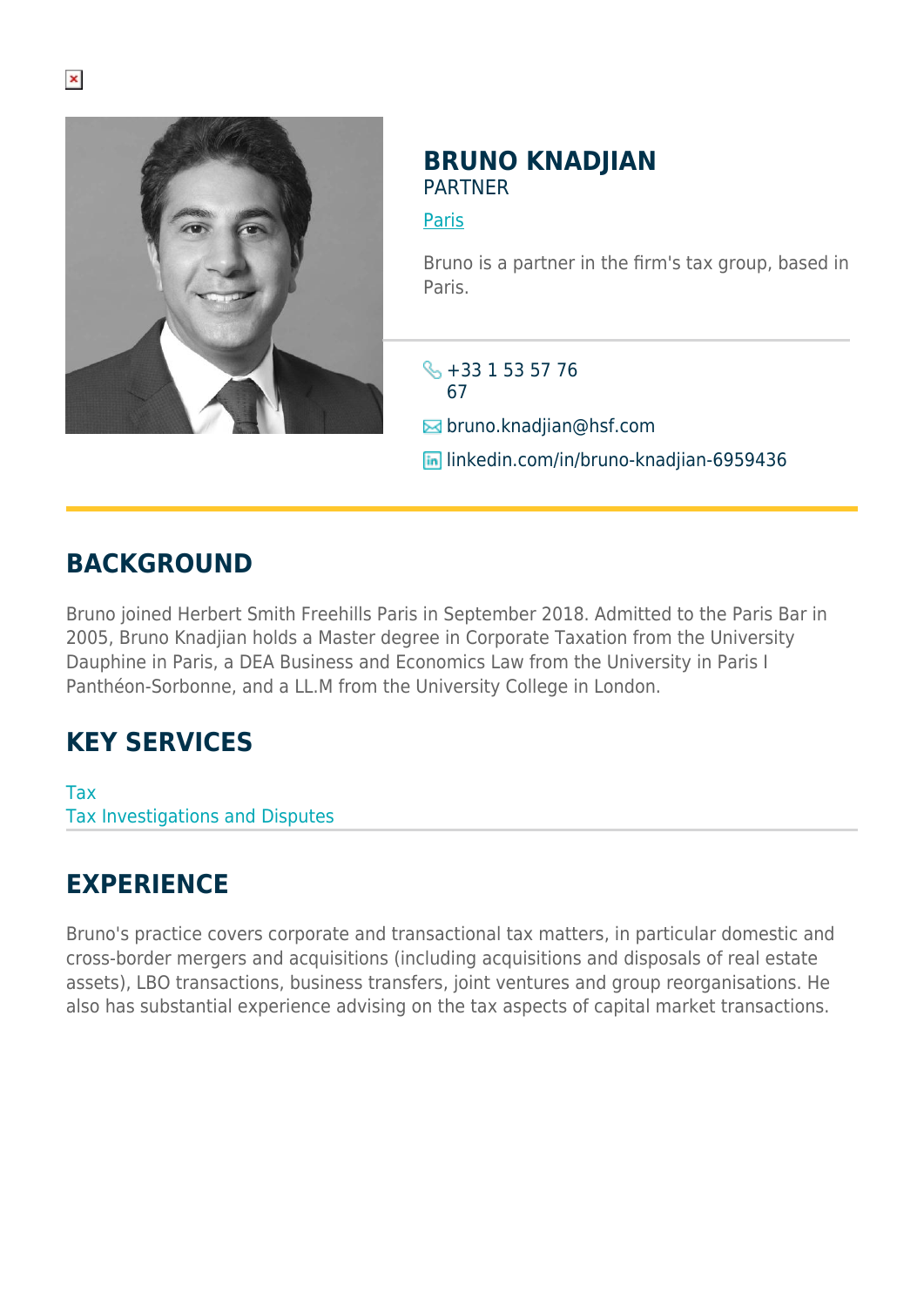

## **BRUNO KNADJIAN** PARTNER

[Paris](https://www.herbertsmithfreehills.com/lang-es/where-we-work/paris)

Bruno is a partner in the firm's tax group, based in Paris.

 $\leftarrow +33$  1 53 57 76 67

 $\blacksquare$  bruno.knadjian@hsf.com

**lin** linkedin.com/in/bruno-knadiian-6959436

## **BACKGROUND**

Bruno joined Herbert Smith Freehills Paris in September 2018. Admitted to the Paris Bar in 2005, Bruno Knadjian holds a Master degree in Corporate Taxation from the University Dauphine in Paris, a DEA Business and Economics Law from the University in Paris I Panthéon-Sorbonne, and a LL.M from the University College in London.

## **KEY SERVICES**

Tax Tax Investigations and Disputes

## **EXPERIENCE**

Bruno's practice covers corporate and transactional tax matters, in particular domestic and cross-border mergers and acquisitions (including acquisitions and disposals of real estate assets), LBO transactions, business transfers, joint ventures and group reorganisations. He also has substantial experience advising on the tax aspects of capital market transactions.